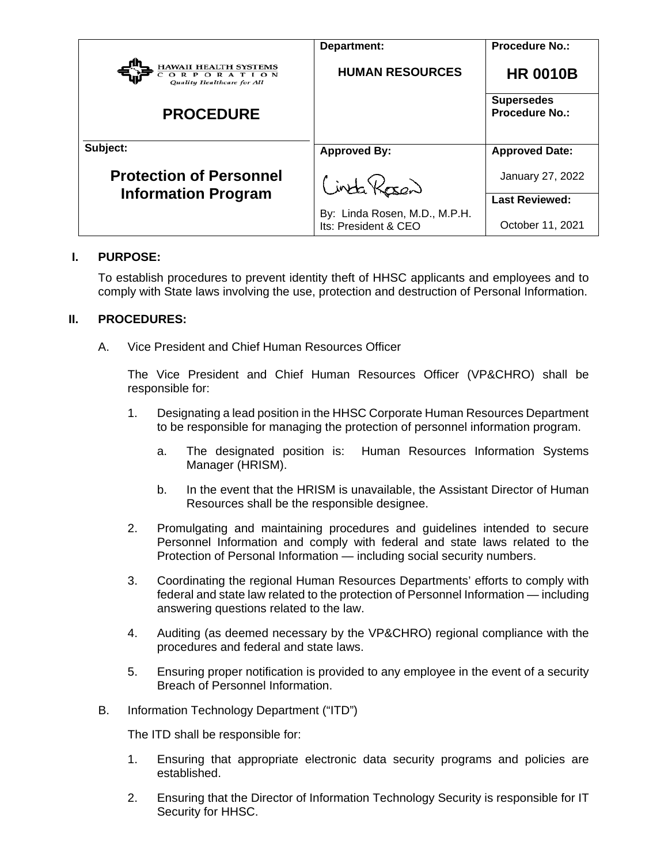|                                                                          | Department:                                           | <b>Procedure No.:</b>                      |
|--------------------------------------------------------------------------|-------------------------------------------------------|--------------------------------------------|
| <b>HAWAII HEALTH SYSTEMS</b><br>ORPORATION<br>Quality Healthcare for All | <b>HUMAN RESOURCES</b>                                | <b>HR 0010B</b>                            |
| <b>PROCEDURE</b>                                                         |                                                       | <b>Supersedes</b><br><b>Procedure No.:</b> |
| Subject:                                                                 | <b>Approved By:</b>                                   | <b>Approved Date:</b>                      |
| <b>Protection of Personnel</b><br><b>Information Program</b>             | Cinta Kosen                                           | January 27, 2022                           |
|                                                                          |                                                       | <b>Last Reviewed:</b>                      |
|                                                                          | By: Linda Rosen, M.D., M.P.H.<br>Its: President & CEO | October 11, 2021                           |

## **I. PURPOSE:**

To establish procedures to prevent identity theft of HHSC applicants and employees and to comply with State laws involving the use, protection and destruction of Personal Information.

# **II. PROCEDURES:**

A. Vice President and Chief Human Resources Officer

The Vice President and Chief Human Resources Officer (VP&CHRO) shall be responsible for:

- 1. Designating a lead position in the HHSC Corporate Human Resources Department to be responsible for managing the protection of personnel information program.
	- a. The designated position is: Human Resources Information Systems Manager (HRISM).
	- b. In the event that the HRISM is unavailable, the Assistant Director of Human Resources shall be the responsible designee.
- 2. Promulgating and maintaining procedures and guidelines intended to secure Personnel Information and comply with federal and state laws related to the Protection of Personal Information — including social security numbers.
- 3. Coordinating the regional Human Resources Departments' efforts to comply with federal and state law related to the protection of Personnel Information — including answering questions related to the law.
- 4. Auditing (as deemed necessary by the VP&CHRO) regional compliance with the procedures and federal and state laws.
- 5. Ensuring proper notification is provided to any employee in the event of a security Breach of Personnel Information.
- B. Information Technology Department ("ITD")

The ITD shall be responsible for:

- 1. Ensuring that appropriate electronic data security programs and policies are established.
- 2. Ensuring that the Director of Information Technology Security is responsible for IT Security for HHSC.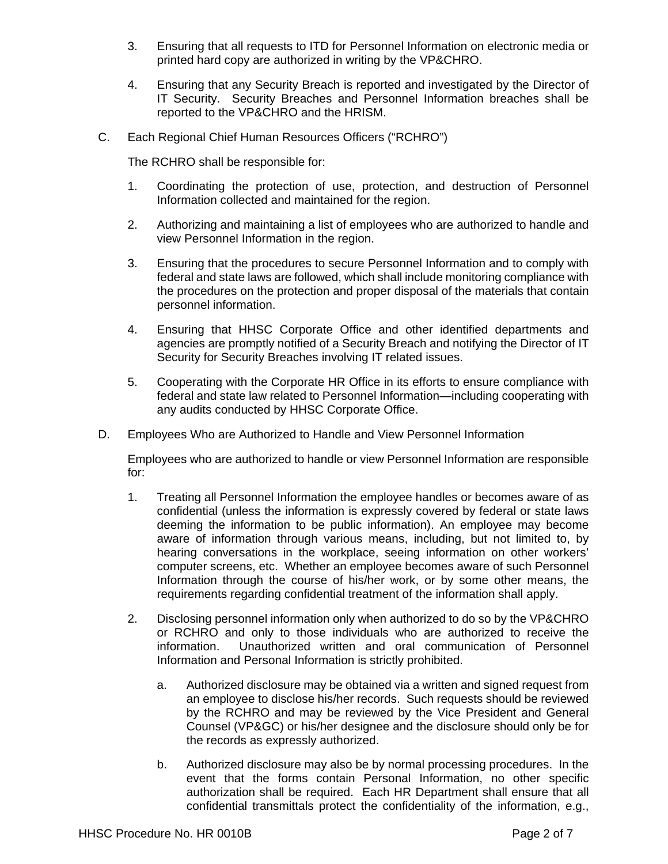- 3. Ensuring that all requests to ITD for Personnel Information on electronic media or printed hard copy are authorized in writing by the VP&CHRO.
- 4. Ensuring that any Security Breach is reported and investigated by the Director of IT Security. Security Breaches and Personnel Information breaches shall be reported to the VP&CHRO and the HRISM.
- C. Each Regional Chief Human Resources Officers ("RCHRO")

The RCHRO shall be responsible for:

- 1. Coordinating the protection of use, protection, and destruction of Personnel Information collected and maintained for the region.
- 2. Authorizing and maintaining a list of employees who are authorized to handle and view Personnel Information in the region.
- 3. Ensuring that the procedures to secure Personnel Information and to comply with federal and state laws are followed, which shall include monitoring compliance with the procedures on the protection and proper disposal of the materials that contain personnel information.
- 4. Ensuring that HHSC Corporate Office and other identified departments and agencies are promptly notified of a Security Breach and notifying the Director of IT Security for Security Breaches involving IT related issues.
- 5. Cooperating with the Corporate HR Office in its efforts to ensure compliance with federal and state law related to Personnel Information—including cooperating with any audits conducted by HHSC Corporate Office.
- D. Employees Who are Authorized to Handle and View Personnel Information

Employees who are authorized to handle or view Personnel Information are responsible for:

- 1. Treating all Personnel Information the employee handles or becomes aware of as confidential (unless the information is expressly covered by federal or state laws deeming the information to be public information). An employee may become aware of information through various means, including, but not limited to, by hearing conversations in the workplace, seeing information on other workers' computer screens, etc. Whether an employee becomes aware of such Personnel Information through the course of his/her work, or by some other means, the requirements regarding confidential treatment of the information shall apply.
- 2. Disclosing personnel information only when authorized to do so by the VP&CHRO or RCHRO and only to those individuals who are authorized to receive the information. Unauthorized written and oral communication of Personnel Information and Personal Information is strictly prohibited.
	- a. Authorized disclosure may be obtained via a written and signed request from an employee to disclose his/her records. Such requests should be reviewed by the RCHRO and may be reviewed by the Vice President and General Counsel (VP&GC) or his/her designee and the disclosure should only be for the records as expressly authorized.
	- b. Authorized disclosure may also be by normal processing procedures. In the event that the forms contain Personal Information, no other specific authorization shall be required. Each HR Department shall ensure that all confidential transmittals protect the confidentiality of the information, e.g.,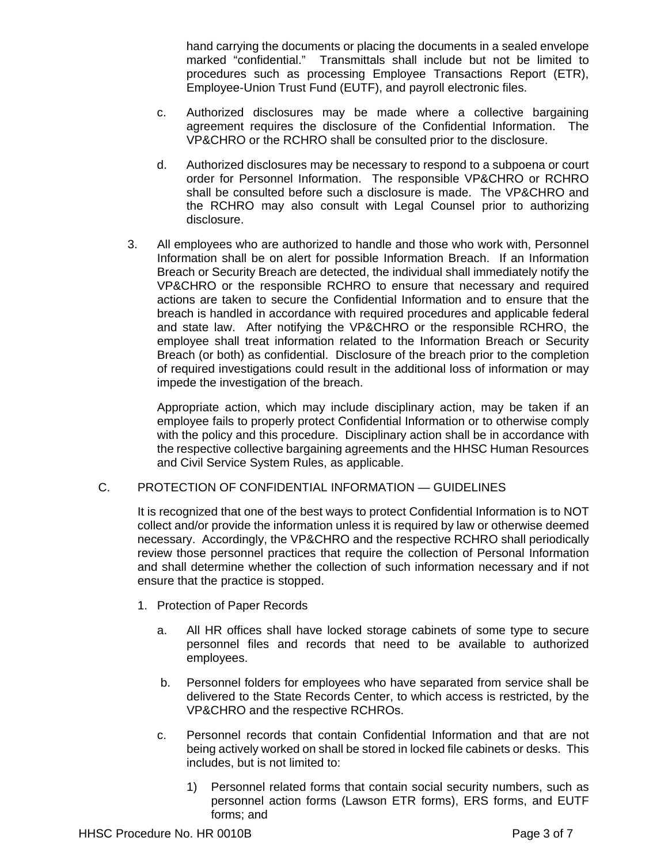hand carrying the documents or placing the documents in a sealed envelope marked "confidential." Transmittals shall include but not be limited to procedures such as processing Employee Transactions Report (ETR), Employee-Union Trust Fund (EUTF), and payroll electronic files.

- c. Authorized disclosures may be made where a collective bargaining agreement requires the disclosure of the Confidential Information. The VP&CHRO or the RCHRO shall be consulted prior to the disclosure.
- d. Authorized disclosures may be necessary to respond to a subpoena or court order for Personnel Information. The responsible VP&CHRO or RCHRO shall be consulted before such a disclosure is made. The VP&CHRO and the RCHRO may also consult with Legal Counsel prior to authorizing disclosure.
- 3. All employees who are authorized to handle and those who work with, Personnel Information shall be on alert for possible Information Breach. If an Information Breach or Security Breach are detected, the individual shall immediately notify the VP&CHRO or the responsible RCHRO to ensure that necessary and required actions are taken to secure the Confidential Information and to ensure that the breach is handled in accordance with required procedures and applicable federal and state law. After notifying the VP&CHRO or the responsible RCHRO, the employee shall treat information related to the Information Breach or Security Breach (or both) as confidential. Disclosure of the breach prior to the completion of required investigations could result in the additional loss of information or may impede the investigation of the breach.

Appropriate action, which may include disciplinary action, may be taken if an employee fails to properly protect Confidential Information or to otherwise comply with the policy and this procedure. Disciplinary action shall be in accordance with the respective collective bargaining agreements and the HHSC Human Resources and Civil Service System Rules, as applicable.

## C. PROTECTION OF CONFIDENTIAL INFORMATION — GUIDELINES

It is recognized that one of the best ways to protect Confidential Information is to NOT collect and/or provide the information unless it is required by law or otherwise deemed necessary. Accordingly, the VP&CHRO and the respective RCHRO shall periodically review those personnel practices that require the collection of Personal Information and shall determine whether the collection of such information necessary and if not ensure that the practice is stopped.

- 1. Protection of Paper Records
	- a. All HR offices shall have locked storage cabinets of some type to secure personnel files and records that need to be available to authorized employees.
	- b. Personnel folders for employees who have separated from service shall be delivered to the State Records Center, to which access is restricted, by the VP&CHRO and the respective RCHROs.
	- c. Personnel records that contain Confidential Information and that are not being actively worked on shall be stored in locked file cabinets or desks. This includes, but is not limited to:
		- 1) Personnel related forms that contain social security numbers, such as personnel action forms (Lawson ETR forms), ERS forms, and EUTF forms; and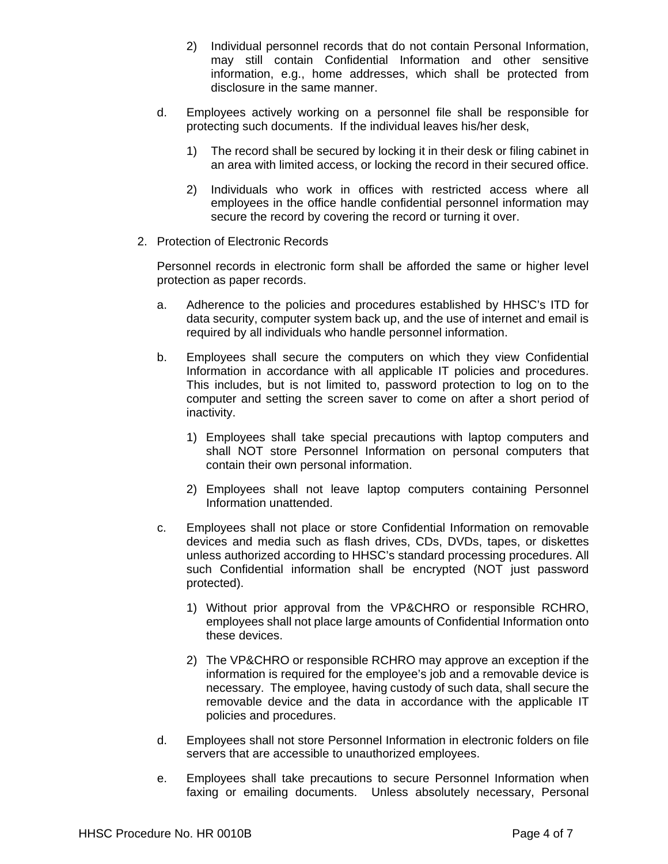- 2) Individual personnel records that do not contain Personal Information, may still contain Confidential Information and other sensitive information, e.g., home addresses, which shall be protected from disclosure in the same manner.
- d. Employees actively working on a personnel file shall be responsible for protecting such documents. If the individual leaves his/her desk,
	- 1) The record shall be secured by locking it in their desk or filing cabinet in an area with limited access, or locking the record in their secured office.
	- 2) Individuals who work in offices with restricted access where all employees in the office handle confidential personnel information may secure the record by covering the record or turning it over.
- 2. Protection of Electronic Records

Personnel records in electronic form shall be afforded the same or higher level protection as paper records.

- a. Adherence to the policies and procedures established by HHSC's ITD for data security, computer system back up, and the use of internet and email is required by all individuals who handle personnel information.
- b. Employees shall secure the computers on which they view Confidential Information in accordance with all applicable IT policies and procedures. This includes, but is not limited to, password protection to log on to the computer and setting the screen saver to come on after a short period of inactivity.
	- 1) Employees shall take special precautions with laptop computers and shall NOT store Personnel Information on personal computers that contain their own personal information.
	- 2) Employees shall not leave laptop computers containing Personnel Information unattended.
- c. Employees shall not place or store Confidential Information on removable devices and media such as flash drives, CDs, DVDs, tapes, or diskettes unless authorized according to HHSC's standard processing procedures. All such Confidential information shall be encrypted (NOT just password protected).
	- 1) Without prior approval from the VP&CHRO or responsible RCHRO, employees shall not place large amounts of Confidential Information onto these devices.
	- 2) The VP&CHRO or responsible RCHRO may approve an exception if the information is required for the employee's job and a removable device is necessary. The employee, having custody of such data, shall secure the removable device and the data in accordance with the applicable IT policies and procedures.
- d. Employees shall not store Personnel Information in electronic folders on file servers that are accessible to unauthorized employees.
- e. Employees shall take precautions to secure Personnel Information when faxing or emailing documents. Unless absolutely necessary, Personal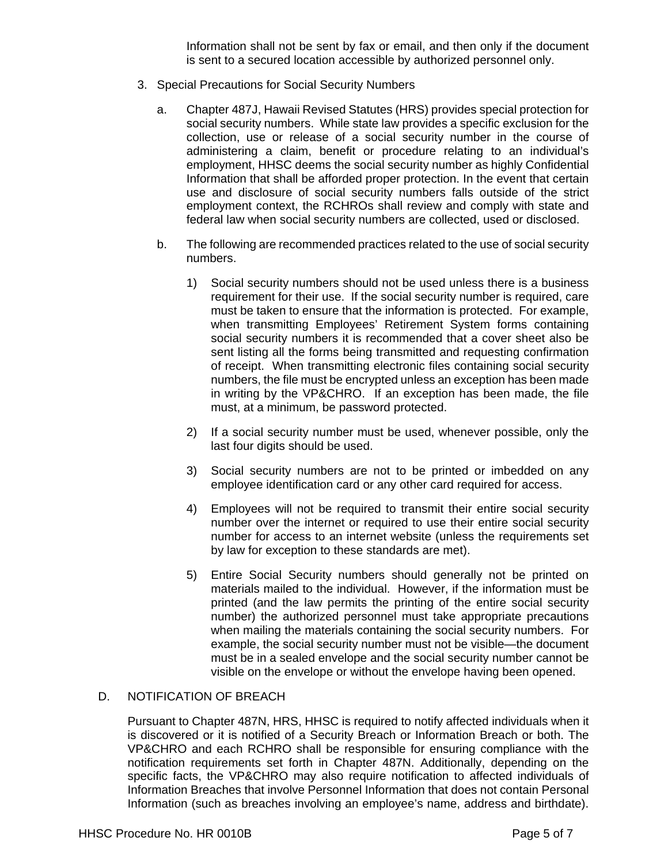Information shall not be sent by fax or email, and then only if the document is sent to a secured location accessible by authorized personnel only.

- 3. Special Precautions for Social Security Numbers
	- a. Chapter 487J, Hawaii Revised Statutes (HRS) provides special protection for social security numbers. While state law provides a specific exclusion for the collection, use or release of a social security number in the course of administering a claim, benefit or procedure relating to an individual's employment, HHSC deems the social security number as highly Confidential Information that shall be afforded proper protection. In the event that certain use and disclosure of social security numbers falls outside of the strict employment context, the RCHROs shall review and comply with state and federal law when social security numbers are collected, used or disclosed.
	- b. The following are recommended practices related to the use of social security numbers.
		- 1) Social security numbers should not be used unless there is a business requirement for their use. If the social security number is required, care must be taken to ensure that the information is protected. For example, when transmitting Employees' Retirement System forms containing social security numbers it is recommended that a cover sheet also be sent listing all the forms being transmitted and requesting confirmation of receipt. When transmitting electronic files containing social security numbers, the file must be encrypted unless an exception has been made in writing by the VP&CHRO. If an exception has been made, the file must, at a minimum, be password protected.
		- 2) If a social security number must be used, whenever possible, only the last four digits should be used.
		- 3) Social security numbers are not to be printed or imbedded on any employee identification card or any other card required for access.
		- 4) Employees will not be required to transmit their entire social security number over the internet or required to use their entire social security number for access to an internet website (unless the requirements set by law for exception to these standards are met).
		- 5) Entire Social Security numbers should generally not be printed on materials mailed to the individual. However, if the information must be printed (and the law permits the printing of the entire social security number) the authorized personnel must take appropriate precautions when mailing the materials containing the social security numbers. For example, the social security number must not be visible—the document must be in a sealed envelope and the social security number cannot be visible on the envelope or without the envelope having been opened.

## D. NOTIFICATION OF BREACH

Pursuant to Chapter 487N, HRS, HHSC is required to notify affected individuals when it is discovered or it is notified of a Security Breach or Information Breach or both. The VP&CHRO and each RCHRO shall be responsible for ensuring compliance with the notification requirements set forth in Chapter 487N. Additionally, depending on the specific facts, the VP&CHRO may also require notification to affected individuals of Information Breaches that involve Personnel Information that does not contain Personal Information (such as breaches involving an employee's name, address and birthdate).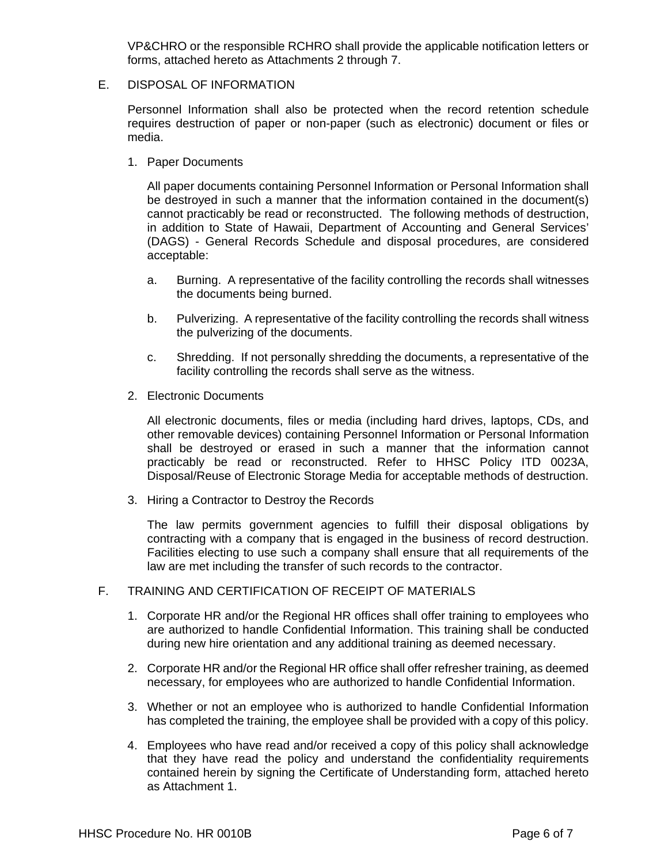VP&CHRO or the responsible RCHRO shall provide the applicable notification letters or forms, attached hereto as Attachments 2 through 7.

### E. DISPOSAL OF INFORMATION

Personnel Information shall also be protected when the record retention schedule requires destruction of paper or non-paper (such as electronic) document or files or media.

1. Paper Documents

All paper documents containing Personnel Information or Personal Information shall be destroyed in such a manner that the information contained in the document(s) cannot practicably be read or reconstructed. The following methods of destruction, in addition to State of Hawaii, Department of Accounting and General Services' (DAGS) - General Records Schedule and disposal procedures, are considered acceptable:

- a. Burning. A representative of the facility controlling the records shall witnesses the documents being burned.
- b. Pulverizing. A representative of the facility controlling the records shall witness the pulverizing of the documents.
- c. Shredding. If not personally shredding the documents, a representative of the facility controlling the records shall serve as the witness.
- 2. Electronic Documents

All electronic documents, files or media (including hard drives, laptops, CDs, and other removable devices) containing Personnel Information or Personal Information shall be destroyed or erased in such a manner that the information cannot practicably be read or reconstructed. Refer to HHSC Policy ITD 0023A, Disposal/Reuse of Electronic Storage Media for acceptable methods of destruction.

3. Hiring a Contractor to Destroy the Records

The law permits government agencies to fulfill their disposal obligations by contracting with a company that is engaged in the business of record destruction. Facilities electing to use such a company shall ensure that all requirements of the law are met including the transfer of such records to the contractor.

## F. TRAINING AND CERTIFICATION OF RECEIPT OF MATERIALS

- 1. Corporate HR and/or the Regional HR offices shall offer training to employees who are authorized to handle Confidential Information. This training shall be conducted during new hire orientation and any additional training as deemed necessary.
- 2. Corporate HR and/or the Regional HR office shall offer refresher training, as deemed necessary, for employees who are authorized to handle Confidential Information.
- 3. Whether or not an employee who is authorized to handle Confidential Information has completed the training, the employee shall be provided with a copy of this policy.
- 4. Employees who have read and/or received a copy of this policy shall acknowledge that they have read the policy and understand the confidentiality requirements contained herein by signing the Certificate of Understanding form, attached hereto as Attachment 1.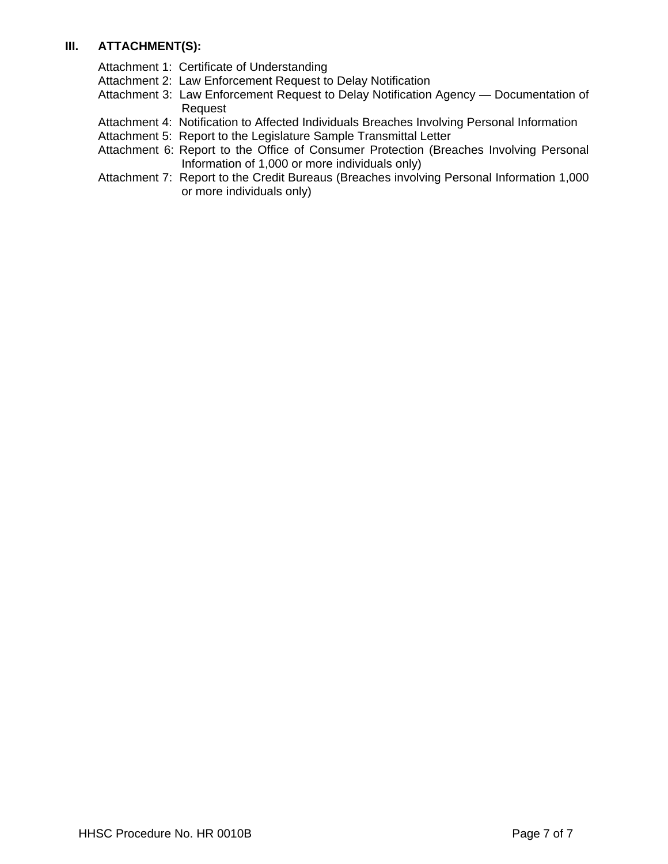# **III. ATTACHMENT(S):**

Attachment 1: Certificate of Understanding

Attachment 2: Law Enforcement Request to Delay Notification

- Attachment 3: Law Enforcement Request to Delay Notification Agency Documentation of Request
- Attachment 4: Notification to Affected Individuals Breaches Involving Personal Information
- Attachment 5: Report to the Legislature Sample Transmittal Letter
- Attachment 6: Report to the Office of Consumer Protection (Breaches Involving Personal Information of 1,000 or more individuals only)
- Attachment 7: Report to the Credit Bureaus (Breaches involving Personal Information 1,000 or more individuals only)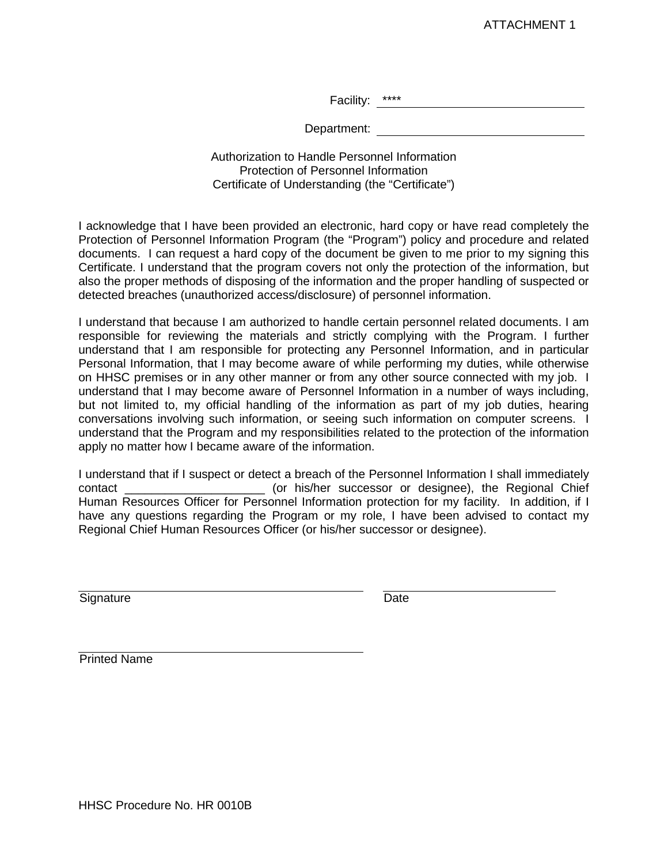Facility: \*\*\*\* The contract of the contract of the contract of the contract of the contract of the contract of the contract of the contract of the contract of the contract of the contract of the contract of the contract of

Department:

Authorization to Handle Personnel Information Protection of Personnel Information Certificate of Understanding (the "Certificate")

I acknowledge that I have been provided an electronic, hard copy or have read completely the Protection of Personnel Information Program (the "Program") policy and procedure and related documents. I can request a hard copy of the document be given to me prior to my signing this Certificate. I understand that the program covers not only the protection of the information, but also the proper methods of disposing of the information and the proper handling of suspected or detected breaches (unauthorized access/disclosure) of personnel information.

I understand that because I am authorized to handle certain personnel related documents. I am responsible for reviewing the materials and strictly complying with the Program. I further understand that I am responsible for protecting any Personnel Information, and in particular Personal Information, that I may become aware of while performing my duties, while otherwise on HHSC premises or in any other manner or from any other source connected with my job. I understand that I may become aware of Personnel Information in a number of ways including, but not limited to, my official handling of the information as part of my job duties, hearing conversations involving such information, or seeing such information on computer screens. I understand that the Program and my responsibilities related to the protection of the information apply no matter how I became aware of the information.

I understand that if I suspect or detect a breach of the Personnel Information I shall immediately contact \_\_\_\_\_\_\_\_\_\_\_\_\_\_\_\_\_\_\_\_\_ (or his/her successor or designee), the Regional Chief Human Resources Officer for Personnel Information protection for my facility. In addition, if I have any questions regarding the Program or my role, I have been advised to contact my Regional Chief Human Resources Officer (or his/her successor or designee).

Signature Date

Printed Name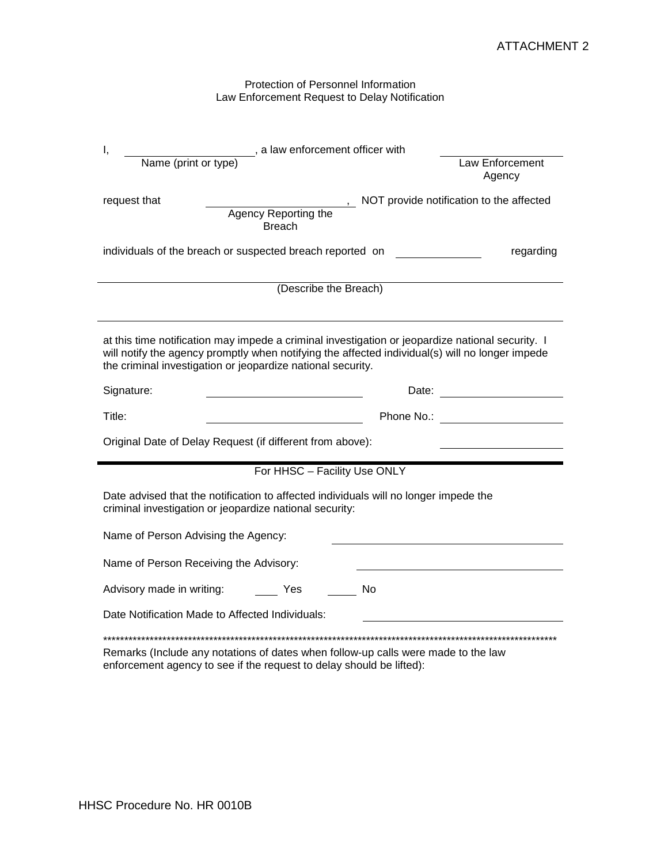#### Protection of Personnel Information Law Enforcement Request to Delay Notification

| Ι,<br>Name (print or type)                                                                                                                      | , a law enforcement officer with                                                                                                                                                                    | Law Enforcement<br>Agency                |
|-------------------------------------------------------------------------------------------------------------------------------------------------|-----------------------------------------------------------------------------------------------------------------------------------------------------------------------------------------------------|------------------------------------------|
| request that                                                                                                                                    | Agency Reporting the<br><b>Breach</b>                                                                                                                                                               | NOT provide notification to the affected |
| individuals of the breach or suspected breach reported on                                                                                       |                                                                                                                                                                                                     | regarding                                |
|                                                                                                                                                 | (Describe the Breach)                                                                                                                                                                               |                                          |
| the criminal investigation or jeopardize national security.                                                                                     | at this time notification may impede a criminal investigation or jeopardize national security. I<br>will notify the agency promptly when notifying the affected individual(s) will no longer impede |                                          |
| Signature:                                                                                                                                      |                                                                                                                                                                                                     | Date: _________________________          |
| Title:                                                                                                                                          |                                                                                                                                                                                                     |                                          |
| Original Date of Delay Request (if different from above):                                                                                       |                                                                                                                                                                                                     |                                          |
|                                                                                                                                                 | For HHSC - Facility Use ONLY                                                                                                                                                                        |                                          |
|                                                                                                                                                 |                                                                                                                                                                                                     |                                          |
| Date advised that the notification to affected individuals will no longer impede the<br>criminal investigation or jeopardize national security: |                                                                                                                                                                                                     |                                          |
| Name of Person Advising the Agency:                                                                                                             |                                                                                                                                                                                                     |                                          |
| Name of Person Receiving the Advisory:                                                                                                          |                                                                                                                                                                                                     |                                          |
| Advisory made in writing:                                                                                                                       | <b>No</b><br>Yes                                                                                                                                                                                    |                                          |

enforcement agency to see if the request to delay should be lifted):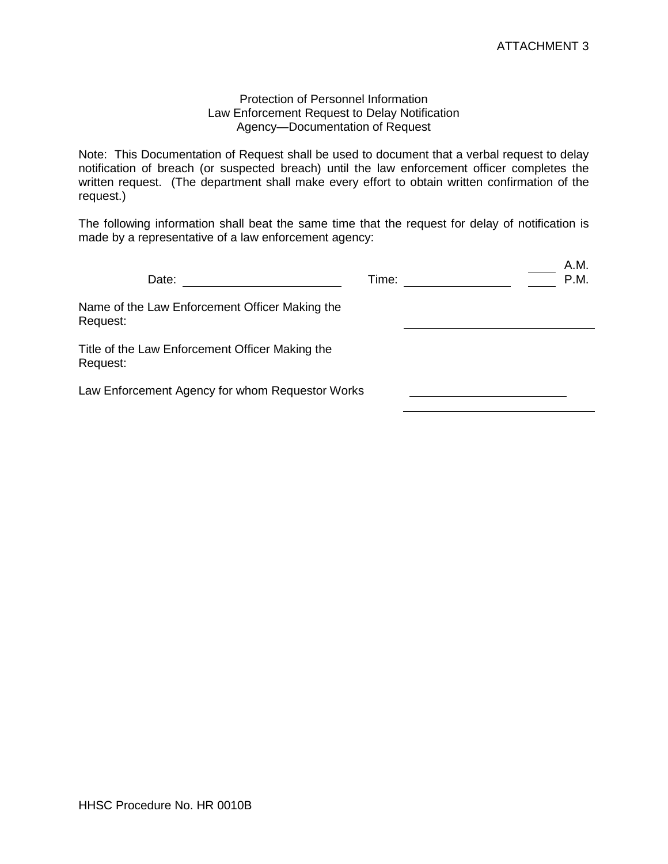### Protection of Personnel Information Law Enforcement Request to Delay Notification Agency—Documentation of Request

Note: This Documentation of Request shall be used to document that a verbal request to delay notification of breach (or suspected breach) until the law enforcement officer completes the written request. (The department shall make every effort to obtain written confirmation of the request.)

The following information shall beat the same time that the request for delay of notification is made by a representative of a law enforcement agency:

| Date:                                                       | Time: |  | A.M.<br>P.M. |
|-------------------------------------------------------------|-------|--|--------------|
| Name of the Law Enforcement Officer Making the<br>Request:  |       |  |              |
| Title of the Law Enforcement Officer Making the<br>Request: |       |  |              |
| Law Enforcement Agency for whom Requestor Works             |       |  |              |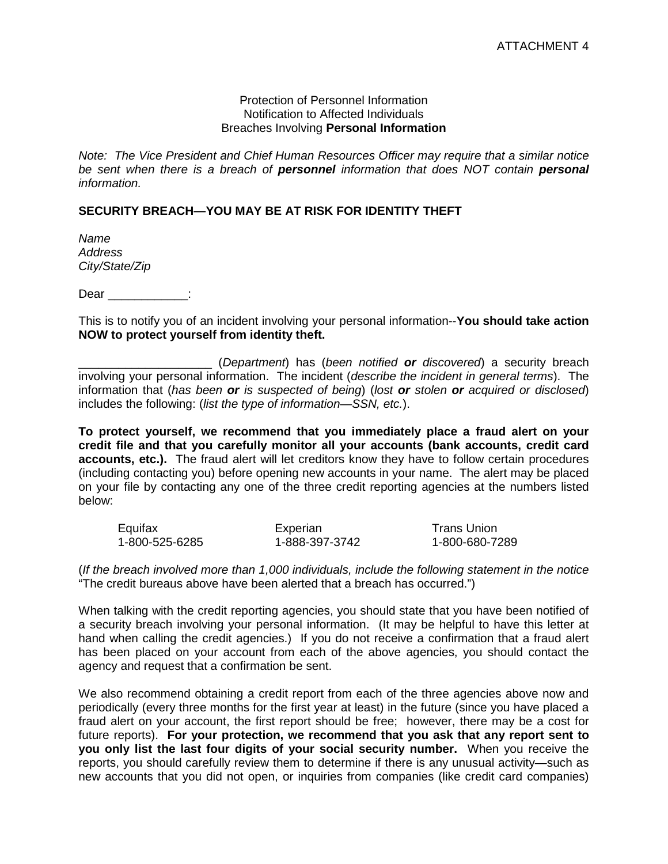#### Protection of Personnel Information Notification to Affected Individuals Breaches Involving **Personal Information**

*Note: The Vice President and Chief Human Resources Officer may require that a similar notice be sent when there is a breach of personnel information that does NOT contain personal information.*

# **SECURITY BREACH—YOU MAY BE AT RISK FOR IDENTITY THEFT**

*Name Address City/State/Zip*

Dear  $\qquad \qquad :$ 

This is to notify you of an incident involving your personal information--**You should take action NOW to protect yourself from identity theft.**

\_\_\_\_\_\_\_\_\_\_\_\_\_\_\_\_\_\_\_\_ (*Department*) has (*been notified or discovered*) a security breach involving your personal information. The incident (*describe the incident in general terms*). The information that (*has been or is suspected of being*) (*lost or stolen or acquired or disclosed*) includes the following: (*list the type of information—SSN, etc.*).

**To protect yourself, we recommend that you immediately place a fraud alert on your credit file and that you carefully monitor all your accounts (bank accounts, credit card accounts, etc.).** The fraud alert will let creditors know they have to follow certain procedures (including contacting you) before opening new accounts in your name. The alert may be placed on your file by contacting any one of the three credit reporting agencies at the numbers listed below:

| Equifax        | Experian       | Trans Union    |
|----------------|----------------|----------------|
| 1-800-525-6285 | 1-888-397-3742 | 1-800-680-7289 |

(*If the breach involved more than 1,000 individuals, include the following statement in the notice*  "The credit bureaus above have been alerted that a breach has occurred.")

When talking with the credit reporting agencies, you should state that you have been notified of a security breach involving your personal information. (It may be helpful to have this letter at hand when calling the credit agencies.) If you do not receive a confirmation that a fraud alert has been placed on your account from each of the above agencies, you should contact the agency and request that a confirmation be sent.

We also recommend obtaining a credit report from each of the three agencies above now and periodically (every three months for the first year at least) in the future (since you have placed a fraud alert on your account, the first report should be free; however, there may be a cost for future reports). **For your protection, we recommend that you ask that any report sent to you only list the last four digits of your social security number.** When you receive the reports, you should carefully review them to determine if there is any unusual activity—such as new accounts that you did not open, or inquiries from companies (like credit card companies)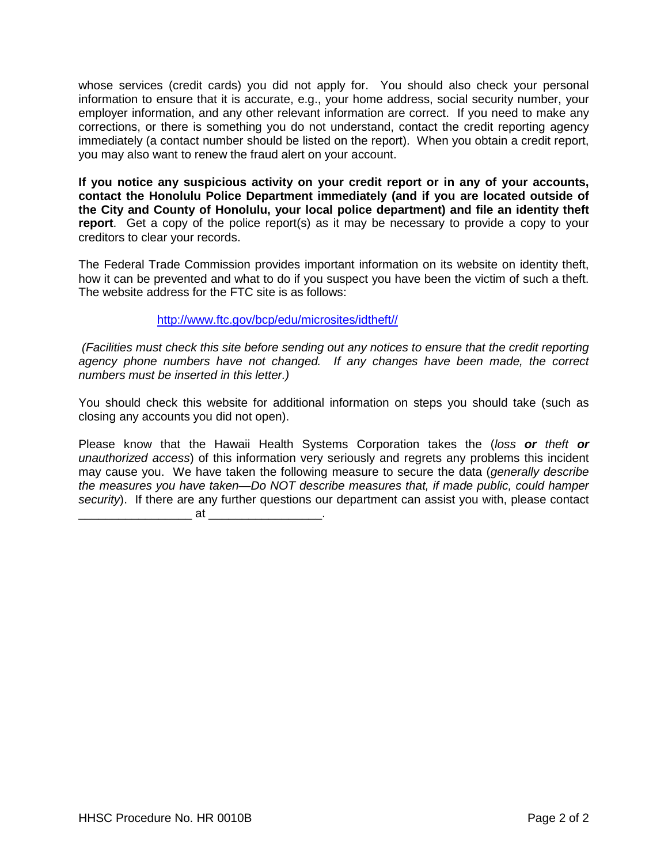whose services (credit cards) you did not apply for. You should also check your personal information to ensure that it is accurate, e.g., your home address, social security number, your employer information, and any other relevant information are correct. If you need to make any corrections, or there is something you do not understand, contact the credit reporting agency immediately (a contact number should be listed on the report). When you obtain a credit report, you may also want to renew the fraud alert on your account.

**If you notice any suspicious activity on your credit report or in any of your accounts, contact the Honolulu Police Department immediately (and if you are located outside of the City and County of Honolulu, your local police department) and file an identity theft report**. Get a copy of the police report(s) as it may be necessary to provide a copy to your creditors to clear your records.

The Federal Trade Commission provides important information on its website on identity theft, how it can be prevented and what to do if you suspect you have been the victim of such a theft. The website address for the FTC site is as follows:

## [http://www.ftc.gov/bcp/edu/microsites/idtheft//](http://www.ftc.gov/bcp/edu/microsites/idtheft/)

*(Facilities must check this site before sending out any notices to ensure that the credit reporting agency phone numbers have not changed. If any changes have been made, the correct numbers must be inserted in this letter.)*

You should check this website for additional information on steps you should take (such as closing any accounts you did not open).

Please know that the Hawaii Health Systems Corporation takes the (*loss or theft or unauthorized access*) of this information very seriously and regrets any problems this incident may cause you. We have taken the following measure to secure the data (*generally describe the measures you have taken—Do NOT describe measures that, if made public, could hamper security*). If there are any further questions our department can assist you with, please contact

 $\overline{\phantom{a}}$  at  $\overline{\phantom{a}}$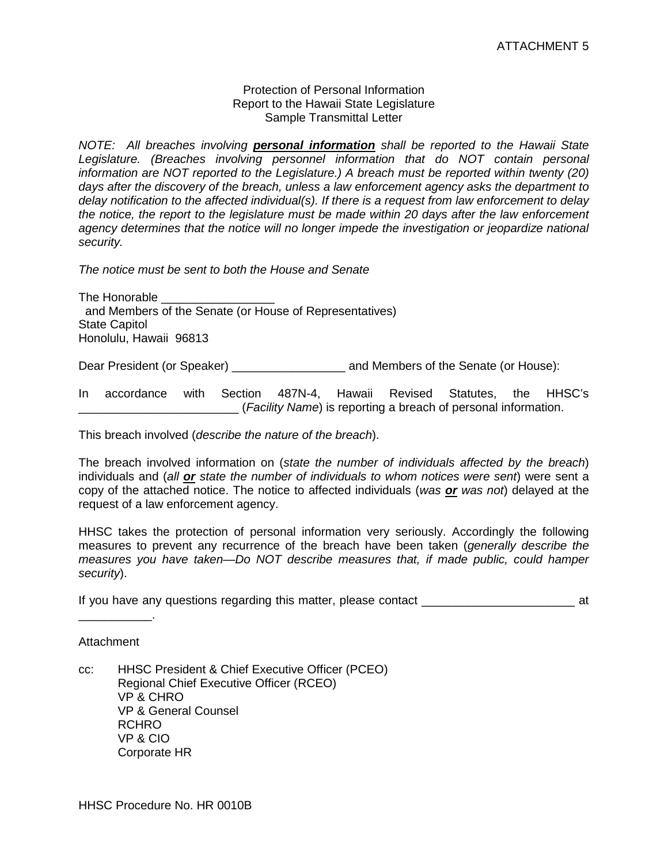#### Protection of Personal Information Report to the Hawaii State Legislature Sample Transmittal Letter

*NOTE: All breaches involving personal information shall be reported to the Hawaii State*  Legislature. (Breaches involving personnel information that do NOT contain personal *information are NOT reported to the Legislature.) A breach must be reported within twenty (20) days after the discovery of the breach, unless a law enforcement agency asks the department to delay notification to the affected individual(s). If there is a request from law enforcement to delay the notice, the report to the legislature must be made within 20 days after the law enforcement*  agency determines that the notice will no longer impede the investigation or jeopardize national *security.*

*The notice must be sent to both the House and Senate*

The Honorable \_\_\_\_\_\_\_\_\_\_\_\_\_\_\_\_\_ and Members of the Senate (or House of Representatives) State Capitol Honolulu, Hawaii 96813

Dear President (or Speaker) \_\_\_\_\_\_\_\_\_\_\_\_\_\_\_\_\_ and Members of the Senate (or House):

In accordance with Section 487N-4, Hawaii Revised Statutes, the HHSC's \_\_\_\_\_\_\_\_\_\_\_\_\_\_\_\_\_\_\_\_\_\_\_\_ (*Facility Name*) is reporting a breach of personal information.

This breach involved (*describe the nature of the breach*).

The breach involved information on (*state the number of individuals affected by the breach*) individuals and (*all or state the number of individuals to whom notices were sent*) were sent a copy of the attached notice. The notice to affected individuals (*was or was not*) delayed at the request of a law enforcement agency.

HHSC takes the protection of personal information very seriously. Accordingly the following measures to prevent any recurrence of the breach have been taken (*generally describe the measures you have taken—Do NOT describe measures that, if made public, could hamper security*).

If you have any questions regarding this matter, please contact  $\overline{\phantom{a}}$  at

Attachment

 $\overline{\phantom{a}}$  .

cc: HHSC President & Chief Executive Officer (PCEO) Regional Chief Executive Officer (RCEO) VP & CHRO VP & General Counsel RCHRO VP & CIO Corporate HR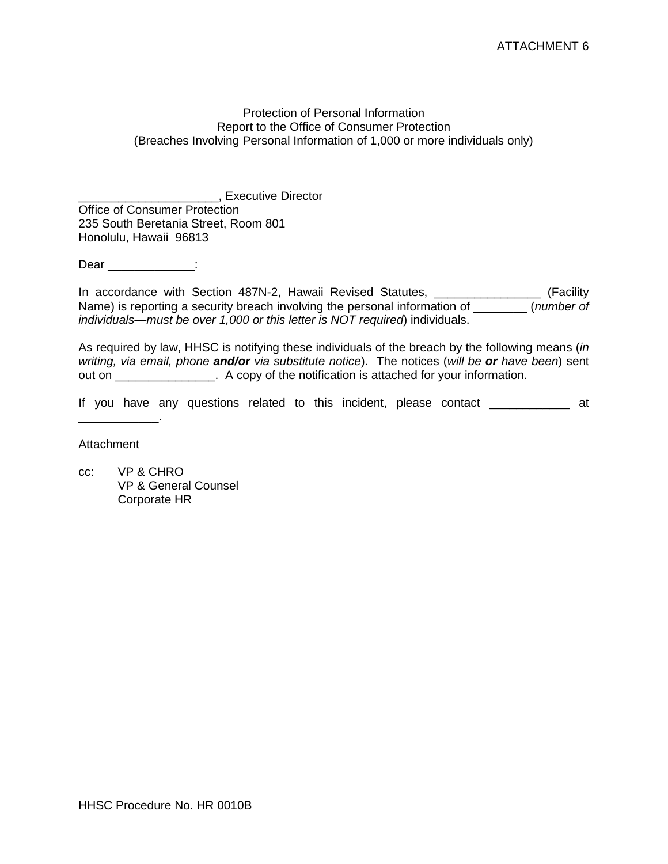### Protection of Personal Information Report to the Office of Consumer Protection (Breaches Involving Personal Information of 1,000 or more individuals only)

\_\_\_\_\_\_\_\_\_\_\_\_\_\_\_\_\_\_\_\_\_, Executive Director Office of Consumer Protection 235 South Beretania Street, Room 801 Honolulu, Hawaii 96813

Dear in the contract of the contract of the contract of the contract of the contract of the contract of the contract of the contract of the contract of the contract of the contract of the contract of the contract of the co

In accordance with Section 487N-2, Hawaii Revised Statutes, \_\_\_\_\_\_\_\_\_\_\_\_\_\_\_\_\_\_\_ (Facility Name) is reporting a security breach involving the personal information of \_\_\_\_\_\_\_\_ (*number of individuals—must be over 1,000 or this letter is NOT required*) individuals.

As required by law, HHSC is notifying these individuals of the breach by the following means (*in writing, via email, phone and/or via substitute notice*). The notices (*will be or have been*) sent out on \_\_\_\_\_\_\_\_\_\_\_\_\_\_. A copy of the notification is attached for your information.

If you have any questions related to this incident, please contact and the variant

Attachment

\_\_\_\_\_\_\_\_\_\_\_\_.

cc: VP & CHRO VP & General Counsel Corporate HR